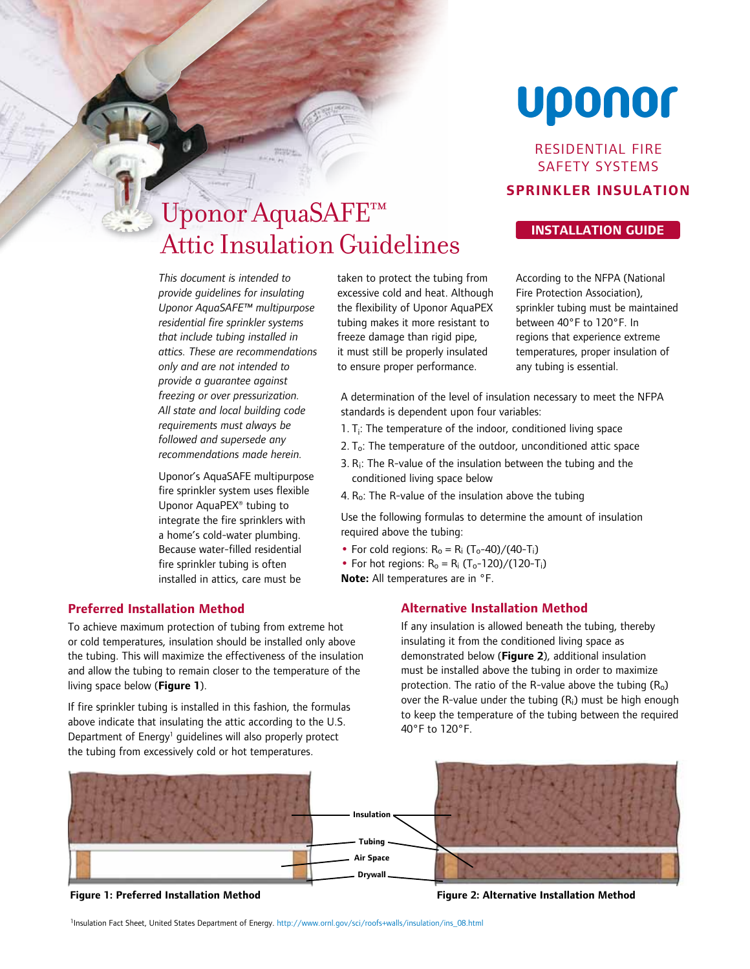# Uponor

Residential Fire Safety SYSTEMS

## **Sprinkler Insulation**

# **Installation Guide** Uponor AquaSAFE™ Attic Insulation Guidelines

According to the NFPA (National Fire Protection Association), sprinkler tubing must be maintained between 40°F to 120°F. In regions that experience extreme temperatures, proper insulation of any tubing is essential.

*This document is intended to provide guidelines for insulating Uponor AquaSAFE™ multipurpose residential fire sprinkler systems that include tubing installed in attics. These are recommendations only and are not intended to provide a guarantee against freezing or over pressurization. All state and local building code requirements must always be followed and supersede any recommendations made herein.*

Uponor's AquaSAFE multipurpose fire sprinkler system uses flexible Uponor AquaPEX® tubing to integrate the fire sprinklers with a home's cold-water plumbing. Because water-filled residential fire sprinkler tubing is often installed in attics, care must be

### **Preferred Installation Method**

To achieve maximum protection of tubing from extreme hot or cold temperatures, insulation should be installed only above the tubing. This will maximize the effectiveness of the insulation and allow the tubing to remain closer to the temperature of the living space below (**Figure 1**).

If fire sprinkler tubing is installed in this fashion, the formulas above indicate that insulating the attic according to the U.S. Department of Energy<sup>1</sup> guidelines will also properly protect the tubing from excessively cold or hot temperatures.

taken to protect the tubing from excessive cold and heat. Although the flexibility of Uponor AquaPEX tubing makes it more resistant to freeze damage than rigid pipe, it must still be properly insulated to ensure proper performance.

A determination of the level of insulation necessary to meet the NFPA standards is dependent upon four variables:

- 1.  $T_i$ : The temperature of the indoor, conditioned living space
- 2. To: The temperature of the outdoor, unconditioned attic space
- 3. Ri: The R-value of the insulation between the tubing and the conditioned living space below
- 4. R<sub>o</sub>: The R-value of the insulation above the tubing

Use the following formulas to determine the amount of insulation required above the tubing:

- For cold regions:  $R_0 = R_i (T_0 40)/(40 T_i)$
- For hot regions:  $R_0 = R_i (T_0 120) / (120 T_i)$
- **Note:** All temperatures are in °F.

#### **Alternative Installation Method**

If any insulation is allowed beneath the tubing, thereby insulating it from the conditioned living space as demonstrated below (**Figure 2**), additional insulation must be installed above the tubing in order to maximize protection. The ratio of the R-value above the tubing  $(R<sub>o</sub>)$ over the R-value under the tubing (Ri) must be high enough to keep the temperature of the tubing between the required 40°F to 120°F.



**Figure 1: Preferred Installation Method**

**Figure 2: Alternative Installation Method**